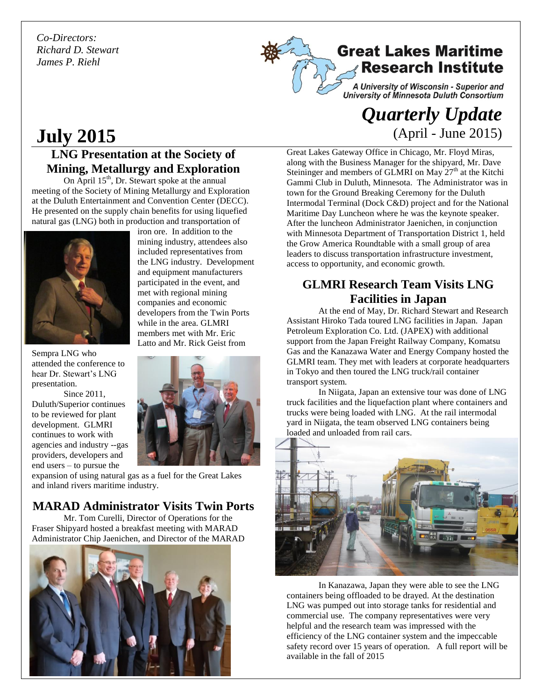*Co-Directors: Richard D. Stewart James P. Riehl*



A University of Wisconsin - Superior and<br>University of Minnesota Duluth Consortium

## *Quarterly Update*  (April - June 2015)

# **July 2015**

## **LNG Presentation at the Society of Mining, Metallurgy and Exploration**

On April  $15<sup>th</sup>$ , Dr. Stewart spoke at the annual meeting of the Society of Mining Metallurgy and Exploration at the Duluth Entertainment and Convention Center (DECC). He presented on the supply chain benefits for using liquefied natural gas (LNG) both in production and transportation of



Sempra LNG who attended the conference to hear Dr. Stewart's LNG presentation.

Since 2011, Duluth/Superior continues to be reviewed for plant development. GLMRI continues to work with agencies and industry --gas providers, developers and end users – to pursue the

iron ore. In addition to the mining industry, attendees also included representatives from the LNG industry. Development and equipment manufacturers participated in the event, and met with regional mining companies and economic developers from the Twin Ports while in the area. GLMRI members met with Mr. Eric Latto and Mr. Rick Geist from



expansion of using natural gas as a fuel for the Great Lakes and inland rivers maritime industry.

## **MARAD Administrator Visits Twin Ports**

Mr. Tom Curelli, Director of Operations for the Fraser Shipyard hosted a breakfast meeting with MARAD Administrator Chip Jaenichen, and Director of the MARAD



Great Lakes Gateway Office in Chicago, Mr. Floyd Miras, along with the Business Manager for the shipyard, Mr. Dave Steininger and members of GLMRI on May  $27<sup>th</sup>$  at the Kitchi Gammi Club in Duluth, Minnesota. The Administrator was in town for the Ground Breaking Ceremony for the Duluth Intermodal Terminal (Dock C&D) project and for the National Maritime Day Luncheon where he was the keynote speaker. After the luncheon Administrator Jaenichen, in conjunction with Minnesota Department of Transportation District 1, held the Grow America Roundtable with a small group of area leaders to discuss transportation infrastructure investment, access to opportunity, and economic growth.

## **GLMRI Research Team Visits LNG Facilities in Japan**

At the end of May, Dr. Richard Stewart and Research Assistant Hiroko Tada toured LNG facilities in Japan. Japan Petroleum Exploration Co. Ltd. (JAPEX) with additional support from the Japan Freight Railway Company, Komatsu Gas and the Kanazawa Water and Energy Company hosted the GLMRI team. They met with leaders at corporate headquarters in Tokyo and then toured the LNG truck/rail container transport system.

In Niigata, Japan an extensive tour was done of LNG truck facilities and the liquefaction plant where containers and trucks were being loaded with LNG. At the rail intermodal yard in Niigata, the team observed LNG containers being loaded and unloaded from rail cars.



In Kanazawa, Japan they were able to see the LNG containers being offloaded to be drayed. At the destination LNG was pumped out into storage tanks for residential and commercial use. The company representatives were very helpful and the research team was impressed with the efficiency of the LNG container system and the impeccable safety record over 15 years of operation. A full report will be available in the fall of 2015